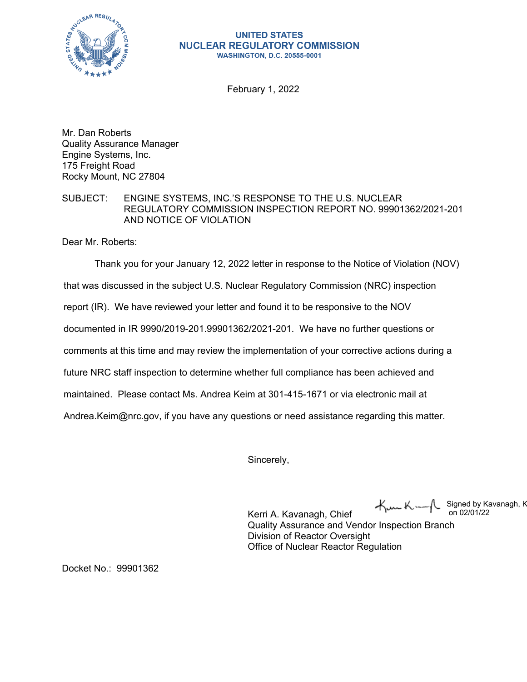

## **UNITED STATES NUCLEAR REGULATORY COMMISSION WASHINGTON, D.C. 20555-0001**

February 1, 2022

Mr. Dan Roberts Quality Assurance Manager Engine Systems, Inc. 175 Freight Road Rocky Mount, NC 27804

## SUBJECT: ENGINE SYSTEMS, INC.'S RESPONSE TO THE U.S. NUCLEAR REGULATORY COMMISSION INSPECTION REPORT NO. 99901362/2021-201 AND NOTICE OF VIOLATION

Dear Mr. Roberts:

Thank you for your January 12, 2022 letter in response to the Notice of Violation (NOV)

that was discussed in the subject U.S. Nuclear Regulatory Commission (NRC) inspection

report (IR). We have reviewed your letter and found it to be responsive to the NOV

documented in IR 9990/2019-201.99901362/2021-201. We have no further questions or

comments at this time and may review the implementation of your corrective actions during a

future NRC staff inspection to determine whether full compliance has been achieved and

maintained. Please contact Ms. Andrea Keim at 301-415-1671 or via electronic mail at

Andrea.Keim@nrc.gov, if you have any questions or need assistance regarding this matter.

Sincerely,

Signed by Kavanagh, K on 02/01/22

Kerri A. Kavanagh, Chief Quality Assurance and Vendor Inspection Branch Division of Reactor Oversight Office of Nuclear Reactor Regulation

Docket No.: 99901362